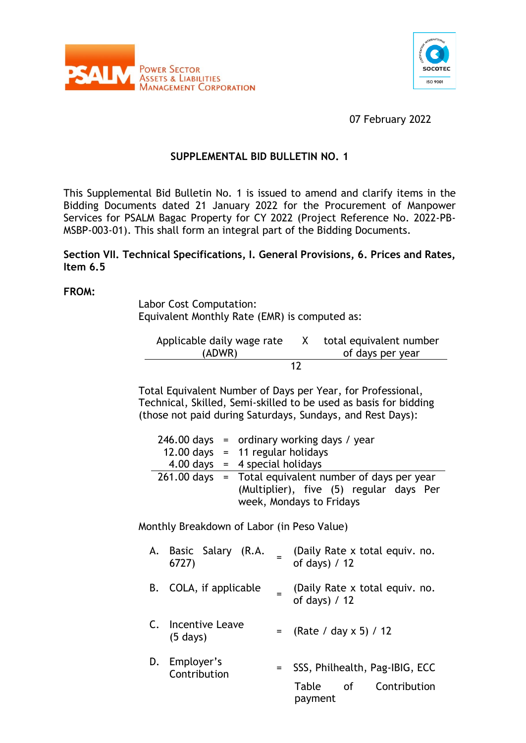



### 07 February 2022

## **SUPPLEMENTAL BID BULLETIN NO. 1**

This Supplemental Bid Bulletin No. 1 is issued to amend and clarify items in the Bidding Documents dated 21 January 2022 for the Procurement of Manpower Services for PSALM Bagac Property for CY 2022 (Project Reference No. 2022-PB-MSBP-003-01). This shall form an integral part of the Bidding Documents.

#### **Section VII. Technical Specifications, I. General Provisions, 6. Prices and Rates, Item 6.5**

#### **FROM:**

Labor Cost Computation: Equivalent Monthly Rate (EMR) is computed as:

| Applicable daily wage rate | total equivalent number |
|----------------------------|-------------------------|
| (ADWR)                     | of days per year        |
|                            |                         |

Total Equivalent Number of Days per Year, for Professional, Technical, Skilled, Semi-skilled to be used as basis for bidding (those not paid during Saturdays, Sundays, and Rest Days):

|  | $246.00$ days = ordinary working days / year             |
|--|----------------------------------------------------------|
|  | 12.00 days $= 11$ regular holidays                       |
|  | $4.00 \text{ days} = 4 \text{ special holdings}$         |
|  | $261.00$ days = Total equivalent number of days per year |
|  | (Multiplier), five (5) regular days Per                  |
|  | week, Mondays to Fridays                                 |

Monthly Breakdown of Labor (in Peso Value)

| A. Basic Salary (R.A.<br>6727)           | (Daily Rate x total equiv. no.<br>of days) / 12  |
|------------------------------------------|--------------------------------------------------|
| B. COLA, if applicable                   | (Daily Rate x total equiv. no.<br>of days) $/12$ |
| C. Incentive Leave<br>$(5 \text{ days})$ | = $(Rate / day \times 5) / 12$                   |
| D. Employer's<br>Contribution            | SSS, Philhealth, Pag-IBIG, ECC                   |
|                                          | Table of Contribution<br>payment                 |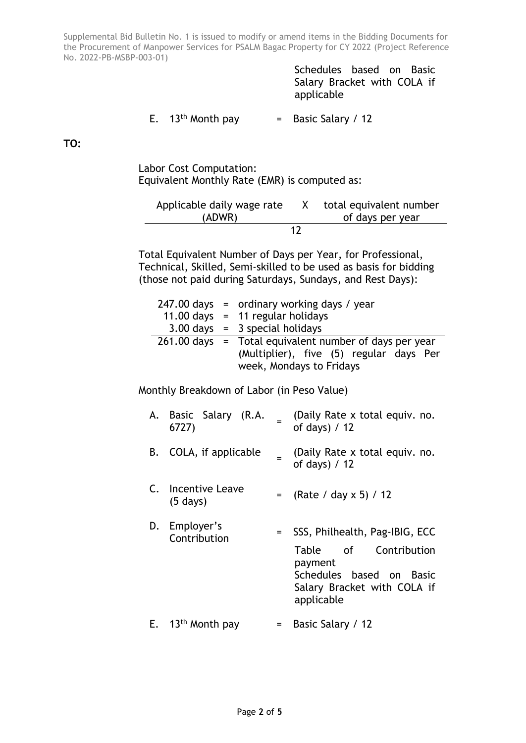> Schedules based on Basic Salary Bracket with COLA if applicable

E.  $13<sup>th</sup>$  Month pay  $=$  Basic Salary / 12

**TO:**

Labor Cost Computation: Equivalent Monthly Rate (EMR) is computed as:

| Applicable daily wage rate | total equivalent number |
|----------------------------|-------------------------|
| (ADWR)                     | of days per year        |
|                            |                         |

Total Equivalent Number of Days per Year, for Professional, Technical, Skilled, Semi-skilled to be used as basis for bidding (those not paid during Saturdays, Sundays, and Rest Days):

|  | $247.00$ days = ordinary working days / year             |
|--|----------------------------------------------------------|
|  | 11.00 days $= 11$ regular holidays                       |
|  | $3.00 \text{ days}$ = 3 special holidays                 |
|  | $261.00$ days = Total equivalent number of days per year |
|  | (Multiplier), five (5) regular days Per                  |
|  | week, Mondays to Fridays                                 |

Monthly Breakdown of Labor (in Peso Value)

|    | A. Basic Salary (R.A.<br>6727)           |              | (Daily Rate x total equiv. no.<br>of days) $/12$                                                                                            |
|----|------------------------------------------|--------------|---------------------------------------------------------------------------------------------------------------------------------------------|
|    | B. COLA, if applicable                   |              | (Daily Rate x total equiv. no.<br>of days) $/12$                                                                                            |
|    | C. Incentive Leave<br>$(5 \text{ days})$ |              | = $(Rate / day \times 5) / 12$                                                                                                              |
|    | D. Employer's<br>Contribution            | $=$          | SSS, Philhealth, Pag-IBIG, ECC<br>Table of Contribution<br>payment<br>Schedules based on Basic<br>Salary Bracket with COLA if<br>applicable |
| E. | 13 <sup>th</sup> Month pay               | $=$ $\qquad$ | Basic Salary / 12                                                                                                                           |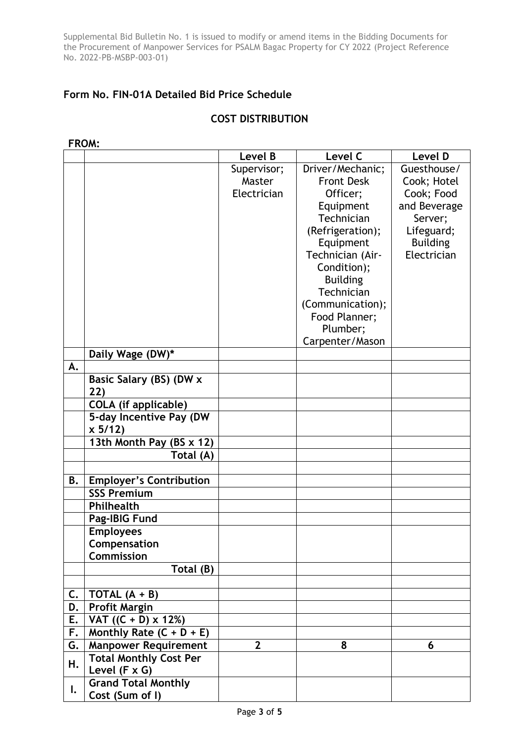## **Form No. FIN-01A Detailed Bid Price Schedule**

# **COST DISTRIBUTION**

|    |                                | Level B      | Level C           | Level D         |
|----|--------------------------------|--------------|-------------------|-----------------|
|    |                                | Supervisor;  | Driver/Mechanic;  | Guesthouse/     |
|    |                                | Master       | <b>Front Desk</b> | Cook; Hotel     |
|    |                                | Electrician  | Officer;          | Cook; Food      |
|    |                                |              | Equipment         | and Beverage    |
|    |                                |              | Technician        | Server;         |
|    |                                |              | (Refrigeration);  | Lifeguard;      |
|    |                                |              | Equipment         | <b>Building</b> |
|    |                                |              | Technician (Air-  | Electrician     |
|    |                                |              | Condition);       |                 |
|    |                                |              | <b>Building</b>   |                 |
|    |                                |              | Technician        |                 |
|    |                                |              | (Communication);  |                 |
|    |                                |              | Food Planner;     |                 |
|    |                                |              | Plumber;          |                 |
|    |                                |              | Carpenter/Mason   |                 |
|    | Daily Wage (DW)*               |              |                   |                 |
| A. |                                |              |                   |                 |
|    | Basic Salary (BS) (DW x        |              |                   |                 |
|    | 22)                            |              |                   |                 |
|    | <b>COLA</b> (if applicable)    |              |                   |                 |
|    | 5-day Incentive Pay (DW        |              |                   |                 |
|    | x 5/12                         |              |                   |                 |
|    | 13th Month Pay (BS x 12)       |              |                   |                 |
|    | Total (A)                      |              |                   |                 |
|    |                                |              |                   |                 |
| В. | <b>Employer's Contribution</b> |              |                   |                 |
|    | <b>SSS Premium</b>             |              |                   |                 |
|    | Philhealth                     |              |                   |                 |
|    | Pag-IBIG Fund                  |              |                   |                 |
|    | <b>Employees</b>               |              |                   |                 |
|    | Compensation                   |              |                   |                 |
|    | Commission                     |              |                   |                 |
|    | Total (B)                      |              |                   |                 |
| C. | TOTAL $(A + B)$                |              |                   |                 |
| D. | <b>Profit Margin</b>           |              |                   |                 |
| E. | VAT ((C + D) x 12%)            |              |                   |                 |
| F. | Monthly Rate $(C + D + E)$     |              |                   |                 |
| G. | <b>Manpower Requirement</b>    | $\mathbf{2}$ | 8                 | 6               |
|    | <b>Total Monthly Cost Per</b>  |              |                   |                 |
| Η. | Level (F x G)                  |              |                   |                 |
|    | <b>Grand Total Monthly</b>     |              |                   |                 |
| I. | Cost (Sum of I)                |              |                   |                 |

**FROM:**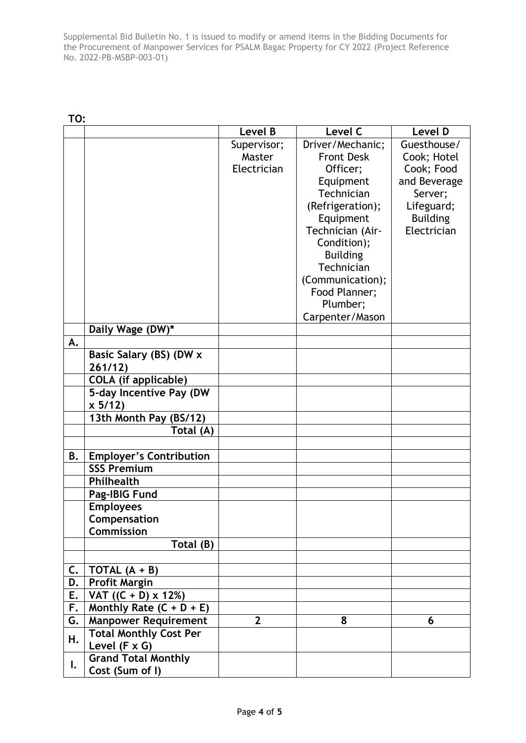| TO: |                                |                |                   |                 |
|-----|--------------------------------|----------------|-------------------|-----------------|
|     |                                | Level B        | Level C           | Level D         |
|     |                                | Supervisor;    | Driver/Mechanic;  | Guesthouse/     |
|     |                                | Master         | <b>Front Desk</b> | Cook; Hotel     |
|     |                                | Electrician    | Officer;          | Cook; Food      |
|     |                                |                | Equipment         | and Beverage    |
|     |                                |                | Technician        | Server;         |
|     |                                |                | (Refrigeration);  | Lifeguard;      |
|     |                                |                | Equipment         | <b>Building</b> |
|     |                                |                | Technician (Air-  | Electrician     |
|     |                                |                | Condition);       |                 |
|     |                                |                | <b>Building</b>   |                 |
|     |                                |                | Technician        |                 |
|     |                                |                | (Communication);  |                 |
|     |                                |                | Food Planner;     |                 |
|     |                                |                | Plumber;          |                 |
|     |                                |                | Carpenter/Mason   |                 |
|     | Daily Wage (DW)*               |                |                   |                 |
| А.  |                                |                |                   |                 |
|     | <b>Basic Salary (BS) (DW x</b> |                |                   |                 |
|     | 261/12)                        |                |                   |                 |
|     | <b>COLA</b> (if applicable)    |                |                   |                 |
|     | 5-day Incentive Pay (DW        |                |                   |                 |
|     | x 5/12                         |                |                   |                 |
|     | 13th Month Pay (BS/12)         |                |                   |                 |
|     | Total (A)                      |                |                   |                 |
|     |                                |                |                   |                 |
| В.  | <b>Employer's Contribution</b> |                |                   |                 |
|     | <b>SSS Premium</b>             |                |                   |                 |
|     | Philhealth                     |                |                   |                 |
|     | Pag-IBIG Fund                  |                |                   |                 |
|     | <b>Employees</b>               |                |                   |                 |
|     | Compensation                   |                |                   |                 |
|     | <b>Commission</b>              |                |                   |                 |
|     | Total (B)                      |                |                   |                 |
|     |                                |                |                   |                 |
| C.  | TOTAL $(A + B)$                |                |                   |                 |
| D.  | <b>Profit Margin</b>           |                |                   |                 |
| E.  | VAT $((C + D) \times 12\%)$    |                |                   |                 |
| F.  | Monthly Rate $(C + D + E)$     |                |                   |                 |
| G.  | <b>Manpower Requirement</b>    | $\overline{2}$ | 8                 | 6               |
| Н.  | <b>Total Monthly Cost Per</b>  |                |                   |                 |
|     | Level $(F \times G)$           |                |                   |                 |
| I.  | <b>Grand Total Monthly</b>     |                |                   |                 |
|     | Cost (Sum of I)                |                |                   |                 |